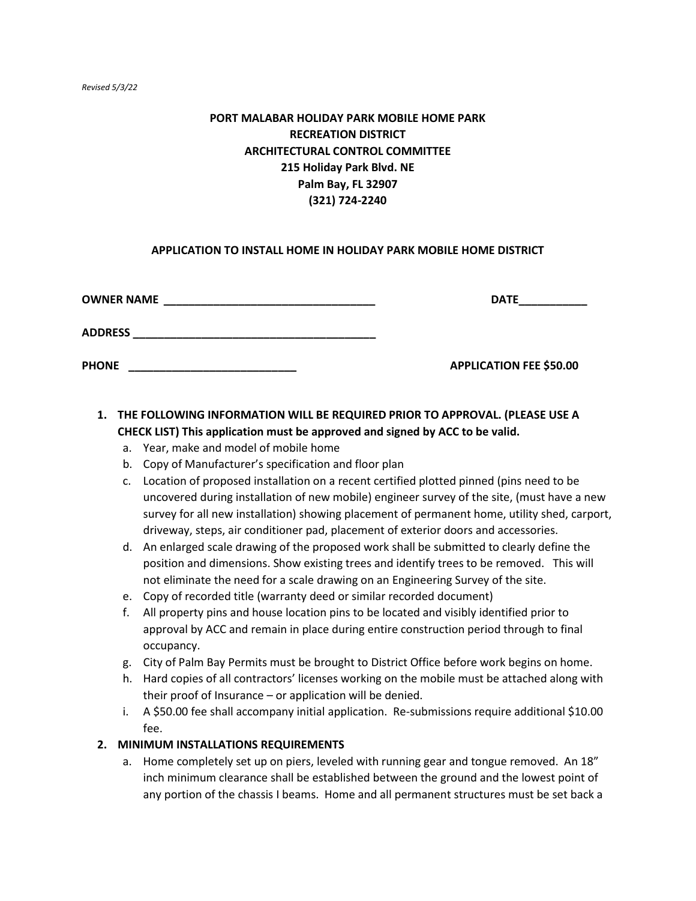#### *Revised 5/3/22*

# **PORT MALABAR HOLIDAY PARK MOBILE HOME PARK RECREATION DISTRICT ARCHITECTURAL CONTROL COMMITTEE 215 Holiday Park Blvd. NE Palm Bay, FL 32907 (321) 724-2240**

#### **APPLICATION TO INSTALL HOME IN HOLIDAY PARK MOBILE HOME DISTRICT**

| <b>OWNER NAME</b> | <b>DATE</b>                    |
|-------------------|--------------------------------|
| <b>ADDRESS</b>    |                                |
| <b>PHONE</b>      | <b>APPLICATION FEE \$50.00</b> |

# **1. THE FOLLOWING INFORMATION WILL BE REQUIRED PRIOR TO APPROVAL. (PLEASE USE A CHECK LIST) This application must be approved and signed by ACC to be valid.**

- a. Year, make and model of mobile home
- b. Copy of Manufacturer's specification and floor plan
- c. Location of proposed installation on a recent certified plotted pinned (pins need to be uncovered during installation of new mobile) engineer survey of the site, (must have a new survey for all new installation) showing placement of permanent home, utility shed, carport, driveway, steps, air conditioner pad, placement of exterior doors and accessories.
- d. An enlarged scale drawing of the proposed work shall be submitted to clearly define the position and dimensions. Show existing trees and identify trees to be removed. This will not eliminate the need for a scale drawing on an Engineering Survey of the site.
- e. Copy of recorded title (warranty deed or similar recorded document)
- f. All property pins and house location pins to be located and visibly identified prior to approval by ACC and remain in place during entire construction period through to final occupancy.
- g. City of Palm Bay Permits must be brought to District Office before work begins on home.
- h. Hard copies of all contractors' licenses working on the mobile must be attached along with their proof of Insurance – or application will be denied.
- i. A \$50.00 fee shall accompany initial application. Re-submissions require additional \$10.00 fee.

#### **2. MINIMUM INSTALLATIONS REQUIREMENTS**

a. Home completely set up on piers, leveled with running gear and tongue removed. An 18" inch minimum clearance shall be established between the ground and the lowest point of any portion of the chassis I beams. Home and all permanent structures must be set back a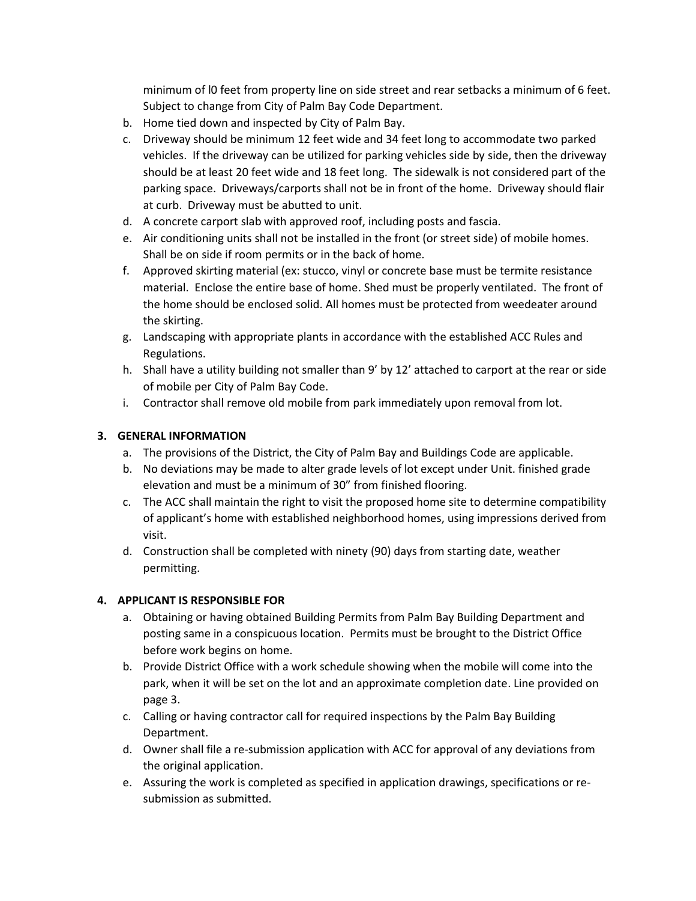minimum of l0 feet from property line on side street and rear setbacks a minimum of 6 feet. Subject to change from City of Palm Bay Code Department.

- b. Home tied down and inspected by City of Palm Bay.
- c. Driveway should be minimum 12 feet wide and 34 feet long to accommodate two parked vehicles. If the driveway can be utilized for parking vehicles side by side, then the driveway should be at least 20 feet wide and 18 feet long. The sidewalk is not considered part of the parking space. Driveways/carports shall not be in front of the home. Driveway should flair at curb. Driveway must be abutted to unit.
- d. A concrete carport slab with approved roof, including posts and fascia.
- e. Air conditioning units shall not be installed in the front (or street side) of mobile homes. Shall be on side if room permits or in the back of home.
- f. Approved skirting material (ex: stucco, vinyl or concrete base must be termite resistance material. Enclose the entire base of home. Shed must be properly ventilated. The front of the home should be enclosed solid. All homes must be protected from weedeater around the skirting.
- g. Landscaping with appropriate plants in accordance with the established ACC Rules and Regulations.
- h. Shall have a utility building not smaller than 9' by 12' attached to carport at the rear or side of mobile per City of Palm Bay Code.
- i. Contractor shall remove old mobile from park immediately upon removal from lot.

## **3. GENERAL INFORMATION**

- a. The provisions of the District, the City of Palm Bay and Buildings Code are applicable.
- b. No deviations may be made to alter grade levels of lot except under Unit. finished grade elevation and must be a minimum of 30" from finished flooring.
- c. The ACC shall maintain the right to visit the proposed home site to determine compatibility of applicant's home with established neighborhood homes, using impressions derived from visit.
- d. Construction shall be completed with ninety (90) days from starting date, weather permitting.

## **4. APPLICANT IS RESPONSIBLE FOR**

- a. Obtaining or having obtained Building Permits from Palm Bay Building Department and posting same in a conspicuous location. Permits must be brought to the District Office before work begins on home.
- b. Provide District Office with a work schedule showing when the mobile will come into the park, when it will be set on the lot and an approximate completion date. Line provided on page 3.
- c. Calling or having contractor call for required inspections by the Palm Bay Building Department.
- d. Owner shall file a re-submission application with ACC for approval of any deviations from the original application.
- e. Assuring the work is completed as specified in application drawings, specifications or resubmission as submitted.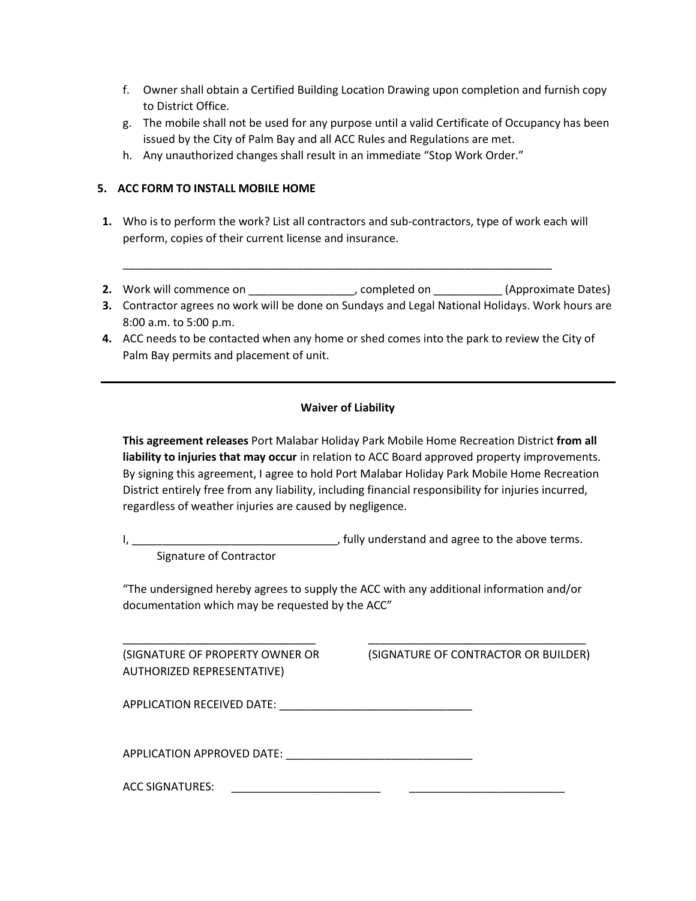- f. Owner shall obtain a Certified Building Location Drawing upon completion and furnish copy to District Office.
- g. The mobile shall not be used for any purpose until a valid Certificate of Occupancy has been issued by the City of Palm Bay and all ACC Rules and Regulations are met.
- h. Any unauthorized changes shall result in an immediate "Stop Work Order."

#### **5. ACC FORM TO INSTALL MOBILE HOME**

- **1.** Who is to perform the work? List all contractors and sub-contractors, type of work each will perform, copies of their current license and insurance.
- \_\_\_\_\_\_\_\_\_\_\_\_\_\_\_\_\_\_\_\_\_\_\_\_\_\_\_\_\_\_\_\_\_\_\_\_\_\_\_\_\_\_\_\_\_\_\_\_\_\_\_\_\_\_\_\_\_\_\_\_\_\_\_\_\_\_\_\_\_
- 2. Work will commence on \_\_\_\_\_\_\_\_\_\_\_\_\_\_\_\_\_\_, completed on \_\_\_\_\_\_\_\_\_\_\_(Approximate Dates)
- **3.** Contractor agrees no work will be done on Sundays and Legal National Holidays. Work hours are 8:00 a.m. to 5:00 p.m.
- **4.** ACC needs to be contacted when any home or shed comes into the park to review the City of Palm Bay permits and placement of unit.

#### **Waiver of Liability**

**This agreement releases** Port Malabar Holiday Park Mobile Home Recreation District **from all liability to injuries that may occur** in relation to ACC Board approved property improvements. By signing this agreement, I agree to hold Port Malabar Holiday Park Mobile Home Recreation District entirely free from any liability, including financial responsibility for injuries incurred, regardless of weather injuries are caused by negligence.

I, \_\_\_\_\_\_\_\_\_\_\_\_\_\_\_\_\_\_\_\_\_\_\_\_\_\_\_\_\_\_\_\_\_, fully understand and agree to the above terms.

Signature of Contractor

"The undersigned hereby agrees to supply the ACC with any additional information and/or documentation which may be requested by the ACC"

\_\_\_\_\_\_\_\_\_\_\_\_\_\_\_\_\_\_\_\_\_\_\_\_\_\_\_\_\_\_\_ \_\_\_\_\_\_\_\_\_\_\_\_\_\_\_\_\_\_\_\_\_\_\_\_\_\_\_\_\_\_\_\_\_\_\_

AUTHORIZED REPRESENTATIVE)

(SIGNATURE OF PROPERTY OWNER OR (SIGNATURE OF CONTRACTOR OR BUILDER)

APPLICATION RECEIVED DATE: \_\_\_\_\_\_\_\_\_\_\_\_\_\_\_\_\_\_\_\_\_\_\_\_\_\_\_\_\_\_\_

APPLICATION APPROVED DATE:  $\blacksquare$ 

ACC SIGNATURES: \_\_\_\_\_\_\_\_\_\_\_\_\_\_\_\_\_\_\_\_\_\_\_\_ \_\_\_\_\_\_\_\_\_\_\_\_\_\_\_\_\_\_\_\_\_\_\_\_\_